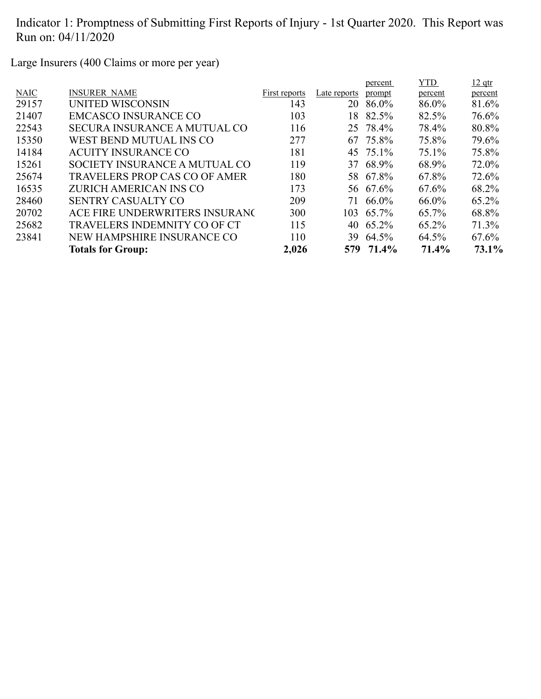Large Insurers (400 Claims or more per year)

|             |                                      |               |              | percent   | <b>YTD</b> | $12$ qtr |
|-------------|--------------------------------------|---------------|--------------|-----------|------------|----------|
| <b>NAIC</b> | <b>INSURER NAME</b>                  | First reports | Late reports | prompt    | percent    | percent  |
| 29157       | UNITED WISCONSIN                     | 143           | 20           | 86.0%     | 86.0%      | 81.6%    |
| 21407       | <b>EMCASCO INSURANCE CO</b>          | 103           | 18           | 82.5%     | 82.5%      | 76.6%    |
| 22543       | <b>SECURA INSURANCE A MUTUAL CO</b>  | 116           |              | 25 78.4%  | 78.4%      | 80.8%    |
| 15350       | WEST BEND MUTUAL INS CO              | 277           | 67           | 75.8%     | 75.8%      | 79.6%    |
| 14184       | <b>ACUITY INSURANCE CO</b>           | 181           |              | 45 75.1%  | 75.1%      | 75.8%    |
| 15261       | SOCIETY INSURANCE A MUTUAL CO        | 119           |              | 37 68.9%  | 68.9%      | 72.0%    |
| 25674       | <b>TRAVELERS PROP CAS CO OF AMER</b> | 180           |              | 58 67.8%  | 67.8%      | 72.6%    |
| 16535       | ZURICH AMERICAN INS CO               | 173           |              | 56 67.6%  | 67.6%      | 68.2%    |
| 28460       | <b>SENTRY CASUALTY CO</b>            | 209           | 71           | 66.0%     | 66.0%      | 65.2%    |
| 20702       | ACE FIRE UNDERWRITERS INSURANC       | 300           |              | 103 65.7% | 65.7%      | 68.8%    |
| 25682       | TRAVELERS INDEMNITY CO OF CT         | 115           |              | 40 65.2%  | 65.2%      | 71.3%    |
| 23841       | NEW HAMPSHIRE INSURANCE CO           | 110           | 39           | 64.5%     | 64.5%      | 67.6%    |
|             | <b>Totals for Group:</b>             | 2,026         |              | 579 71.4% | 71.4%      | 73.1%    |
|             |                                      |               |              |           |            |          |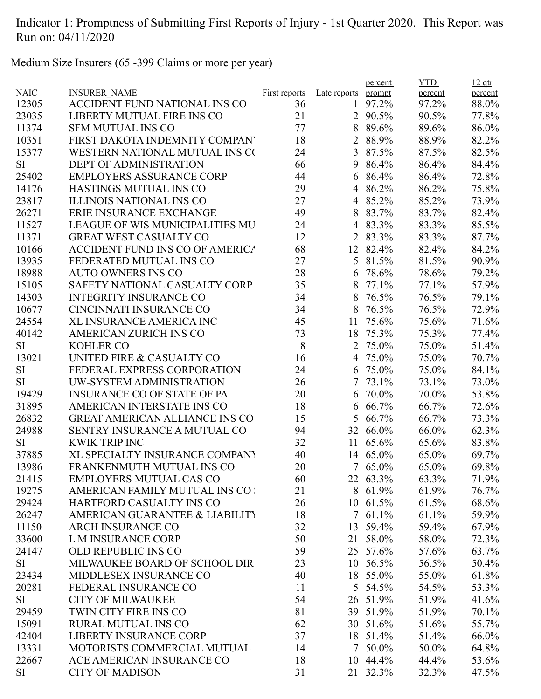Medium Size Insurers (65 -399 Claims or more per year)

|             |                                        |               |                | percent  | <b>YTD</b> | $12$ qtr |
|-------------|----------------------------------------|---------------|----------------|----------|------------|----------|
| <b>NAIC</b> | <b>INSURER NAME</b>                    | First reports | Late reports   | prompt   | percent    | percent  |
| 12305       | ACCIDENT FUND NATIONAL INS CO          | 36            | 1              | 97.2%    | 97.2%      | 88.0%    |
| 23035       | LIBERTY MUTUAL FIRE INS CO             | 21            | 2              | 90.5%    | 90.5%      | 77.8%    |
| 11374       | <b>SFM MUTUAL INS CO</b>               | 77            | 8              | 89.6%    | 89.6%      | 86.0%    |
| 10351       | FIRST DAKOTA INDEMNITY COMPANY         | 18            | 2              | 88.9%    | 88.9%      | 82.2%    |
| 15377       | WESTERN NATIONAL MUTUAL INS CO         | 24            | 3              | 87.5%    | 87.5%      | 82.5%    |
| SI          | <b>DEPT OF ADMINISTRATION</b>          | 66            | 9              | 86.4%    | 86.4%      | 84.4%    |
| 25402       | <b>EMPLOYERS ASSURANCE CORP</b>        | 44            | 6              | 86.4%    | 86.4%      | 72.8%    |
| 14176       | <b>HASTINGS MUTUAL INS CO</b>          | 29            | 4              | 86.2%    | 86.2%      | 75.8%    |
| 23817       | <b>ILLINOIS NATIONAL INS CO</b>        | 27            | 4              | 85.2%    | 85.2%      | 73.9%    |
| 26271       | <b>ERIE INSURANCE EXCHANGE</b>         | 49            | 8              | 83.7%    | 83.7%      | 82.4%    |
| 11527       | <b>LEAGUE OF WIS MUNICIPALITIES MU</b> | 24            | 4              | 83.3%    | 83.3%      | 85.5%    |
| 11371       | <b>GREAT WEST CASUALTY CO</b>          | 12            | $\overline{2}$ | 83.3%    | 83.3%      | 87.7%    |
| 10166       | <b>ACCIDENT FUND INS CO OF AMERICA</b> | 68            |                | 12 82.4% | 82.4%      | 84.2%    |
| 13935       | FEDERATED MUTUAL INS CO                | 27            | 5              | 81.5%    | 81.5%      | 90.9%    |
| 18988       | <b>AUTO OWNERS INS CO</b>              | 28            | 6              | 78.6%    | 78.6%      | 79.2%    |
| 15105       | SAFETY NATIONAL CASUALTY CORP          | 35            | 8              | 77.1%    | 77.1%      | 57.9%    |
| 14303       | <b>INTEGRITY INSURANCE CO</b>          | 34            | 8              | 76.5%    | 76.5%      | 79.1%    |
| 10677       | <b>CINCINNATI INSURANCE CO</b>         | 34            | 8              | 76.5%    | 76.5%      | 72.9%    |
| 24554       | XL INSURANCE AMERICA INC               | 45            | 11             | 75.6%    | 75.6%      | 71.6%    |
| 40142       | <b>AMERICAN ZURICH INS CO</b>          | 73            | 18             | 75.3%    | 75.3%      | 77.4%    |
| <b>SI</b>   | <b>KOHLER CO</b>                       | 8             | $\overline{2}$ | 75.0%    | 75.0%      | 51.4%    |
| 13021       | UNITED FIRE & CASUALTY CO              | 16            |                | 4 75.0%  | 75.0%      | 70.7%    |
| SI          | FEDERAL EXPRESS CORPORATION            | 24            | 6              | 75.0%    | 75.0%      | 84.1%    |
| SI          | UW-SYSTEM ADMINISTRATION               | 26            | 7              | 73.1%    | 73.1%      | 73.0%    |
| 19429       | <b>INSURANCE CO OF STATE OF PA</b>     | 20            | 6              | 70.0%    | 70.0%      | 53.8%    |
| 31895       | AMERICAN INTERSTATE INS CO             | 18            | 6              | 66.7%    | 66.7%      | 72.6%    |
| 26832       | <b>GREAT AMERICAN ALLIANCE INS CO</b>  | 15            | 5              | 66.7%    | 66.7%      | 73.3%    |
| 24988       | SENTRY INSURANCE A MUTUAL CO           | 94            | 32             | 66.0%    | 66.0%      | 62.3%    |
| SI          | <b>KWIK TRIP INC</b>                   | 32            | 11             | 65.6%    | 65.6%      | 83.8%    |
| 37885       | XL SPECIALTY INSURANCE COMPANY         | 40            |                | 14 65.0% | 65.0%      | 69.7%    |
| 13986       | FRANKENMUTH MUTUAL INS CO              | 20            |                | 7 65.0%  | 65.0%      | 69.8%    |
| 21415       | <b>EMPLOYERS MUTUAL CAS CO</b>         | 60            |                | 22 63.3% | 63.3%      | 71.9%    |
| 19275       | AMERICAN FAMILY MUTUAL INS CO          | 21            |                | 8 61.9%  | 61.9%      | 76.7%    |
| 29424       | HARTFORD CASUALTY INS CO               | 26            |                | 10 61.5% | 61.5%      | 68.6%    |
| 26247       | AMERICAN GUARANTEE & LIABILITY         | 18            |                | 7 61.1%  | 61.1%      | 59.9%    |
| 11150       | <b>ARCH INSURANCE CO</b>               | 32            | 13             | 59.4%    | 59.4%      | 67.9%    |
| 33600       | L M INSURANCE CORP                     | 50            | 21             | 58.0%    | 58.0%      | 72.3%    |
| 24147       | <b>OLD REPUBLIC INS CO</b>             | 59            |                | 25 57.6% | 57.6%      | 63.7%    |
| SI          | MILWAUKEE BOARD OF SCHOOL DIR          | 23            |                | 10 56.5% | 56.5%      | 50.4%    |
| 23434       | MIDDLESEX INSURANCE CO                 | 40            |                | 18 55.0% | 55.0%      | 61.8%    |
| 20281       | FEDERAL INSURANCE CO                   | 11            |                | 5 54.5%  | 54.5%      | 53.3%    |
| SI          | <b>CITY OF MILWAUKEE</b>               | 54            |                | 26 51.9% | 51.9%      | 41.6%    |
| 29459       | TWIN CITY FIRE INS CO                  | 81            |                | 39 51.9% | 51.9%      | 70.1%    |
| 15091       | <b>RURAL MUTUAL INS CO</b>             | 62            |                | 30 51.6% | 51.6%      | 55.7%    |
| 42404       | <b>LIBERTY INSURANCE CORP</b>          | 37            |                | 18 51.4% | 51.4%      | 66.0%    |
| 13331       | MOTORISTS COMMERCIAL MUTUAL            | 14            | 7              | 50.0%    | 50.0%      | 64.8%    |
| 22667       | ACE AMERICAN INSURANCE CO              | 18            |                | 10 44.4% | 44.4%      |          |
|             |                                        |               |                |          |            | 53.6%    |
| SI          | <b>CITY OF MADISON</b>                 | 31            |                | 21 32.3% | 32.3%      | 47.5%    |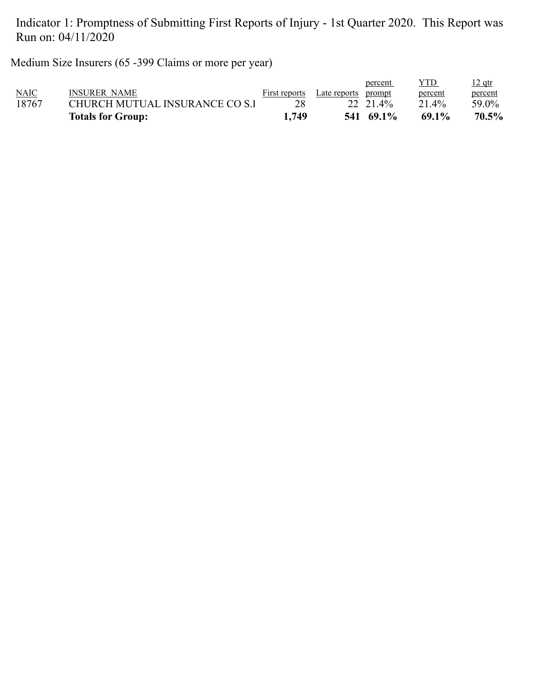Medium Size Insurers (65 -399 Claims or more per year)

|             | <b>Totals for Group:</b>       | 1.749         |              | 541 69.1% | 69.1%   | 70.5%    |
|-------------|--------------------------------|---------------|--------------|-----------|---------|----------|
| 18767       | CHURCH MUTUAL INSURANCE CO S.I |               |              | 22 21.4%  | 21.4%   | 59.0%    |
| <b>NAIC</b> | INSURER NAME                   | First reports | Late reports | prompt    | percent | percent  |
|             |                                |               |              | percent   | YTD     | $12$ qtr |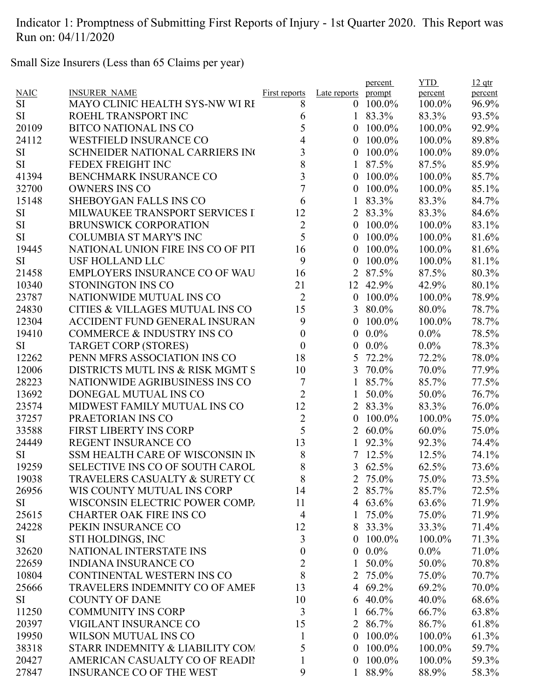Small Size Insurers (Less than 65 Claims per year)

|             |                                            |                      |                  | percent         | <b>YTD</b> | $12$ qtr |
|-------------|--------------------------------------------|----------------------|------------------|-----------------|------------|----------|
| <b>NAIC</b> | <b>INSURER NAME</b>                        | <b>First reports</b> | Late reports     | prompt          | percent    | percent  |
| SI          | <b>MAYO CLINIC HEALTH SYS-NW WI RI</b>     | 8                    | $\overline{0}$   | 100.0%          | 100.0%     | 96.9%    |
| <b>SI</b>   | ROEHL TRANSPORT INC                        | 6                    |                  | 83.3%           | 83.3%      | 93.5%    |
| 20109       | <b>BITCO NATIONAL INS CO</b>               | 5                    | $\theta$         | 100.0%          | 100.0%     | 92.9%    |
| 24112       | <b>WESTFIELD INSURANCE CO</b>              | 4                    | 0                | 100.0%          | 100.0%     | 89.8%    |
| <b>SI</b>   | <b>SCHNEIDER NATIONAL CARRIERS IN</b>      | 3                    | $\overline{0}$   | 100.0%          | 100.0%     | 89.0%    |
| <b>SI</b>   | FEDEX FREIGHT INC                          | 8                    |                  | 87.5%           | 87.5%      | 85.9%    |
| 41394       | <b>BENCHMARK INSURANCE CO</b>              | 3                    | 0                | 100.0%          | 100.0%     | 85.7%    |
| 32700       | <b>OWNERS INS CO</b>                       | $\overline{7}$       | 0                | 100.0%          | 100.0%     | 85.1%    |
| 15148       | <b>SHEBOYGAN FALLS INS CO</b>              | 6                    |                  | 83.3%           | 83.3%      | 84.7%    |
| <b>SI</b>   | MILWAUKEE TRANSPORT SERVICES I             | 12                   |                  | 2 83.3%         | 83.3%      | 84.6%    |
| <b>SI</b>   | <b>BRUNSWICK CORPORATION</b>               | $\overline{2}$       | $\theta$         | 100.0%          | 100.0%     | 83.1%    |
| <b>SI</b>   | <b>COLUMBIA ST MARY'S INC</b>              | 5                    | $\theta$         | 100.0%          | 100.0%     | 81.6%    |
| 19445       | NATIONAL UNION FIRE INS CO OF PIT          | 16                   | 0                | 100.0%          | 100.0%     | 81.6%    |
| <b>SI</b>   | <b>USF HOLLAND LLC</b>                     | 9                    | 0                | 100.0%          | 100.0%     | 81.1%    |
| 21458       | <b>EMPLOYERS INSURANCE CO OF WAU</b>       | 16                   | $\overline{2}$   | 87.5%           | 87.5%      | 80.3%    |
| 10340       | STONINGTON INS CO                          | 21                   |                  | 12 42.9%        | 42.9%      | 80.1%    |
| 23787       | NATIONWIDE MUTUAL INS CO                   | $\overline{2}$       | $\boldsymbol{0}$ | 100.0%          | 100.0%     | 78.9%    |
| 24830       | <b>CITIES &amp; VILLAGES MUTUAL INS CO</b> | 15                   | 3                | 80.0%           | 80.0%      | 78.7%    |
| 12304       | <b>ACCIDENT FUND GENERAL INSURAN</b>       | 9                    | 0                | 100.0%          | 100.0%     | 78.7%    |
| 19410       | <b>COMMERCE &amp; INDUSTRY INS CO</b>      | $\boldsymbol{0}$     | 0                | $0.0\%$         | $0.0\%$    | 78.5%    |
| <b>SI</b>   | <b>TARGET CORP (STORES)</b>                | $\boldsymbol{0}$     | 0                | $0.0\%$         | $0.0\%$    | 78.3%    |
| 12262       | PENN MFRS ASSOCIATION INS CO               | 18                   | 5                | 72.2%           | 72.2%      | 78.0%    |
| 12006       | DISTRICTS MUTL INS & RISK MGMT S           | 10                   | 3                | 70.0%           | 70.0%      | 77.9%    |
| 28223       | NATIONWIDE AGRIBUSINESS INS CO             | 7                    |                  | 85.7%           | 85.7%      | 77.5%    |
| 13692       | DONEGAL MUTUAL INS CO                      | $\overline{2}$       | 1                | 50.0%           | 50.0%      | 76.7%    |
| 23574       | MIDWEST FAMILY MUTUAL INS CO               | 12                   |                  | 2 83.3%         | 83.3%      | 76.0%    |
| 37257       | PRAETORIAN INS CO                          | $\overline{2}$       | 0                | 100.0%          | 100.0%     | 75.0%    |
| 33588       | <b>FIRST LIBERTY INS CORP</b>              | 5                    |                  | 2 60.0%         | 60.0%      | 75.0%    |
| 24449       | <b>REGENT INSURANCE CO</b>                 | 13                   | 1                | 92.3%           | 92.3%      | 74.4%    |
| <b>SI</b>   | SSM HEALTH CARE OF WISCONSIN IN            | 8                    | 7                | 12.5%           | 12.5%      | 74.1%    |
| 19259       | SELECTIVE INS CO OF SOUTH CAROL            | 8                    |                  | 3 62.5%         | 62.5%      | 73.6%    |
| 19038       | TRAVELERS CASUALTY & SURETY CO             | 8                    |                  | 2 75.0%         | 75.0%      | 73.5%    |
| 26956       | WIS COUNTY MUTUAL INS CORP                 | 14                   |                  | 2 85.7%         | 85.7%      | 72.5%    |
| SI          | WISCONSIN ELECTRIC POWER COMP.             | 11                   |                  | 4 $63.6\%$      | 63.6%      | 71.9%    |
| 25615       | <b>CHARTER OAK FIRE INS CO</b>             | $\overline{4}$       | $\mathbf{1}$     | 75.0%           | 75.0%      | 71.9%    |
| 24228       | PEKIN INSURANCE CO                         | 12                   | 8                | 33.3%           | 33.3%      | 71.4%    |
|             |                                            |                      | $\theta$         |                 |            |          |
| SI          | STI HOLDINGS, INC                          | 3                    |                  | $100.0\%$       | 100.0%     | 71.3%    |
| 32620       | NATIONAL INTERSTATE INS                    | $\boldsymbol{0}$     | $\boldsymbol{0}$ | $0.0\%$         | $0.0\%$    | 71.0%    |
| 22659       | <b>INDIANA INSURANCE CO</b>                | $\overline{2}$       | 1                | 50.0%           | 50.0%      | 70.8%    |
| 10804       | CONTINENTAL WESTERN INS CO                 | 8                    |                  | 2 75.0%         | 75.0%      | 70.7%    |
| 25666       | TRAVELERS INDEMNITY CO OF AMEF             | 13                   |                  | 4 69.2%         | 69.2%      | 70.0%    |
| SI          | <b>COUNTY OF DANE</b>                      | 10                   |                  | $6\quad 40.0\%$ | 40.0%      | 68.6%    |
| 11250       | <b>COMMUNITY INS CORP</b>                  | 3                    | $\mathbf{1}$     | 66.7%           | 66.7%      | 63.8%    |
| 20397       | VIGILANT INSURANCE CO                      | 15                   |                  | 2 86.7%         | 86.7%      | 61.8%    |
| 19950       | WILSON MUTUAL INS CO                       | 1                    | $\boldsymbol{0}$ | 100.0%          | 100.0%     | 61.3%    |
| 38318       | STARR INDEMNITY & LIABILITY COM            | 5                    | $\boldsymbol{0}$ | 100.0%          | 100.0%     | 59.7%    |
| 20427       | AMERICAN CASUALTY CO OF READII             | 1                    | $\boldsymbol{0}$ | 100.0%          | 100.0%     | 59.3%    |
| 27847       | <b>INSURANCE CO OF THE WEST</b>            | 9                    |                  | 1 88.9%         | 88.9%      | 58.3%    |